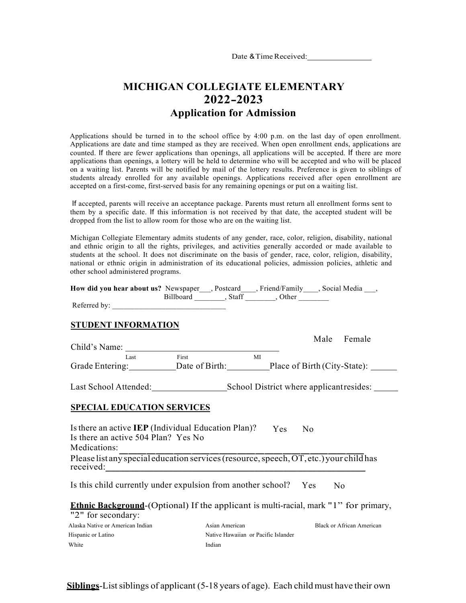Date & Time Received:

# **MICHIGAN COLLEGIATE ELEMENTARY 2022-2023 Application for Admission**

Applications should be turned in to the school office by 4:00 p.m. on the last day of open enrollment. Applications are date and time stamped as they are received. When open enrollment ends, applications are counted. If there are fewer applications than openings, all applications will be accepted. If there are more applications than openings, a lottery will be held to determine who will be accepted and who will be placed on a waiting list. Parents will be notified by mail of the lottery results. Preference is given to siblings of students already enrolled for any available openings. Applications received after open enrollment are accepted on a first-come, first-served basis for any remaining openings or put on a waiting list.

If accepted, parents will receive an acceptance package. Parents must return all enrollment forms sent to them by a specific date. If this information is not received by that date, the accepted student will be dropped from the list to allow room for those who are on the waiting list.

Michigan Collegiate Elementary admits students of any gender, race, color, religion, disability, national and ethnic origin to all the rights, privileges, and activities generally accorded or made available to students at the school. It does not discriminate on the basis of gender, race, color, religion, disability, national or ethnic origin in administration of its educational policies, admission policies, athletic and other school administered programs.

| <b>How did you hear about us?</b> Newspaper , Postcard , Friend/Family , Social Media , |  |                           |  |
|-----------------------------------------------------------------------------------------|--|---------------------------|--|
|                                                                                         |  | Billboard , Staff , Other |  |
| Referred by:                                                                            |  |                           |  |

### **STUDENT INFORMATION**

|                                                                                                     |       |     | Male           | Female |  |
|-----------------------------------------------------------------------------------------------------|-------|-----|----------------|--------|--|
| Child's Name:                                                                                       |       |     |                |        |  |
| Last                                                                                                | First | MI  |                |        |  |
| Grade Entering: Date of Birth: Place of Birth (City-State): ______                                  |       |     |                |        |  |
| Last School Attended: School District where applicant resides:                                      |       |     |                |        |  |
| <b>SPECIAL EDUCATION SERVICES</b>                                                                   |       |     |                |        |  |
| Is there an active <b>IEP</b> (Individual Education Plan)?<br>Is there an active 504 Plan? Yes No   |       | Yes | N <sub>0</sub> |        |  |
| Medications:                                                                                        |       |     |                |        |  |
| Please list any special education services (resource, speech, OT, etc.) your child has<br>received: |       |     |                |        |  |
| Is this child currently under expulsion from another school? Yes                                    |       |     |                | No.    |  |

**Ethnic Background-**(Optional) If the applicant is multi-racial, mark "1" for primary,

| "2" for secondary:               |                                     |                           |
|----------------------------------|-------------------------------------|---------------------------|
| Alaska Native or American Indian | Asian American                      | Black or African American |
| Hispanic or Latino               | Native Hawaiian or Pacific Islander |                           |
| White                            | Indian                              |                           |

### **Siblings**-List siblings of applicant (5-18 years of age). Each child must have their own